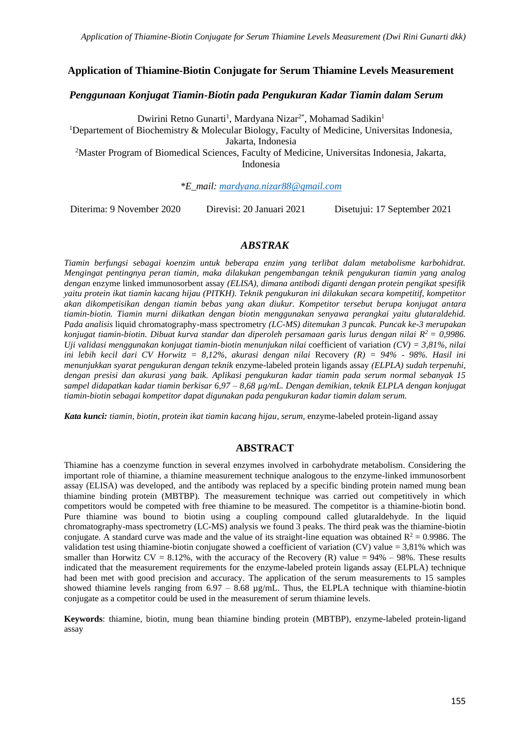#### **Application of Thiamine-Biotin Conjugate for Serum Thiamine Levels Measurement**

#### *Penggunaan Konjugat Tiamin-Biotin pada Pengukuran Kadar Tiamin dalam Serum*

Dwirini Retno Gunarti<sup>1</sup>, Mardyana Nizar<sup>2\*</sup>, Mohamad Sadikin<sup>1</sup>

<sup>1</sup>Departement of Biochemistry & Molecular Biology, Faculty of Medicine, Universitas Indonesia, Jakarta, Indonesia

<sup>2</sup>Master Program of Biomedical Sciences, Faculty of Medicine, Universitas Indonesia, Jakarta, Indonesia

*\*E\_mail: [mardyana.nizar88@gmail.com](mailto:mardyana.nizar88@gmail.com)*

Diterima: 9 November 2020 Direvisi: 20 Januari 2021 Disetujui: 17 September 2021

#### *ABSTRAK*

*Tiamin berfungsi sebagai koenzim untuk beberapa enzim yang terlibat dalam metabolisme karbohidrat. Mengingat pentingnya peran tiamin, maka dilakukan pengembangan teknik pengukuran tiamin yang analog dengan* enzyme linked immunosorbent assay *(ELISA), dimana antibodi diganti dengan protein pengikat spesifik yaitu protein ikat tiamin kacang hijau (PITKH). Teknik pengukuran ini dilakukan secara kompetitif, kompetitor akan dikompetisikan dengan tiamin bebas yang akan diukur. Kompetitor tersebut berupa konjugat antara tiamin-biotin. Tiamin murni diikatkan dengan biotin menggunakan senyawa perangkai yaitu glutaraldehid. Pada analisis* liquid chromatography-mass spectrometry *(LC-MS) ditemukan 3 puncak. Puncak ke-3 merupakan konjugat tiamin-biotin. Dibuat kurva standar dan diperoleh persamaan garis lurus dengan nilai R <sup>2</sup> = 0,9986. Uji validasi menggunakan konjugat tiamin-biotin menunjukan nilai* coefficient of variation *(CV) = 3,81%, nilai ini lebih kecil dari CV Horwitz = 8,12%, akurasi dengan nilai* Recovery *(R) = 94% - 98%. Hasil ini menunjukkan syarat pengukuran dengan teknik* enzyme-labeled protein ligands assay *(ELPLA) sudah terpenuhi, dengan presisi dan akurasi yang baik. Aplikasi pengukuran kadar tiamin pada serum normal sebanyak 15 sampel didapatkan kadar tiamin berkisar 6,97 – 8,68 µg/mL. Dengan demikian, teknik ELPLA dengan konjugat tiamin-biotin sebagai kompetitor dapat digunakan pada pengukuran kadar tiamin dalam serum.*

*Kata kunci: tiamin, biotin, protein ikat tiamin kacang hijau, serum,* enzyme-labeled protein-ligand assay

### **ABSTRACT**

Thiamine has a coenzyme function in several enzymes involved in carbohydrate metabolism. Considering the important role of thiamine, a thiamine measurement technique analogous to the enzyme-linked immunosorbent assay (ELISA) was developed, and the antibody was replaced by a specific binding protein named mung bean thiamine binding protein (MBTBP). The measurement technique was carried out competitively in which competitors would be competed with free thiamine to be measured. The competitor is a thiamine-biotin bond. Pure thiamine was bound to biotin using a coupling compound called glutaraldehyde. In the liquid chromatography-mass spectrometry (LC-MS) analysis we found 3 peaks. The third peak was the thiamine-biotin conjugate. A standard curve was made and the value of its straight-line equation was obtained  $R^2 = 0.9986$ . The validation test using thiamine-biotin conjugate showed a coefficient of variation (CV) value = 3,81% which was smaller than Horwitz  $CV = 8.12\%$ , with the accuracy of the Recovery (R) value = 94% – 98%. These results indicated that the measurement requirements for the enzyme-labeled protein ligands assay (ELPLA) technique had been met with good precision and accuracy. The application of the serum measurements to 15 samples showed thiamine levels ranging from  $6.97 - 8.68 \mu g/mL$ . Thus, the ELPLA technique with thiamine-biotin conjugate as a competitor could be used in the measurement of serum thiamine levels.

**Keywords**: thiamine, biotin, mung bean thiamine binding protein (MBTBP), enzyme-labeled protein-ligand assay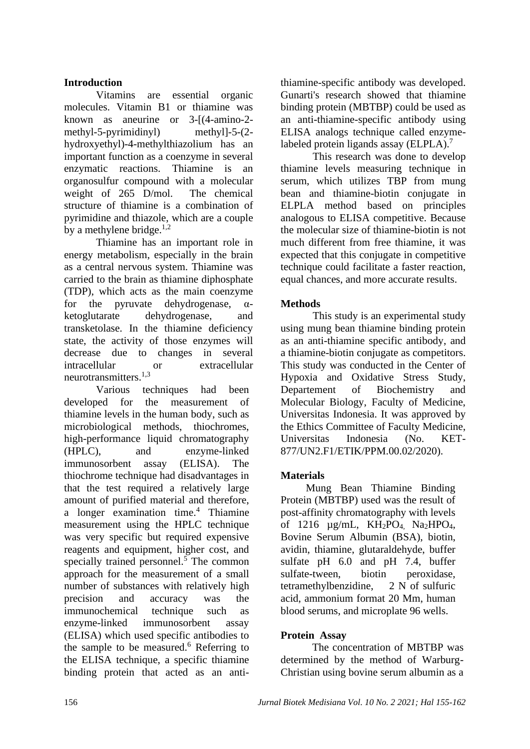## **Introduction**

Vitamins are essential organic molecules. Vitamin B1 or thiamine was known as aneurine or  $3-(4- \text{a})$ methyl-5-pyrimidinyl) methyl]-5-(2 hydroxyethyl)-4-methylthiazolium has an important function as a coenzyme in several enzymatic reactions. Thiamine is an organosulfur compound with a molecular weight of 265 D/mol. The chemical structure of thiamine is a combination of pyrimidine and thiazole, which are a couple by a methylene bridge. $1,2$ 

Thiamine has an important role in energy metabolism, especially in the brain as a central nervous system. Thiamine was carried to the brain as thiamine diphosphate (TDP), which acts as the main coenzyme for the pyruvate dehydrogenase,  $\alpha$ ketoglutarate dehydrogenase, and transketolase. In the thiamine deficiency state, the activity of those enzymes will decrease due to changes in several intracellular or extracellular neurotransmitters. 1,3

Various techniques had been developed for the measurement of thiamine levels in the human body, such as microbiological methods, thiochromes, high-performance liquid chromatography (HPLC), and enzyme-linked immunosorbent assay (ELISA). The thiochrome technique had disadvantages in that the test required a relatively large amount of purified material and therefore, a longer examination time.<sup>4</sup> Thiamine measurement using the HPLC technique was very specific but required expensive reagents and equipment, higher cost, and specially trained personnel. $\frac{5}{7}$  The common approach for the measurement of a small number of substances with relatively high precision and accuracy was the immunochemical technique such as enzyme-linked immunosorbent assay (ELISA) which used specific antibodies to the sample to be measured. $6$  Referring to the ELISA technique, a specific thiamine binding protein that acted as an antithiamine-specific antibody was developed. Gunarti's research showed that thiamine binding protein (MBTBP) could be used as an anti-thiamine-specific antibody using ELISA analogs technique called enzymelabeled protein ligands assay (ELPLA).<sup>7</sup>

This research was done to develop thiamine levels measuring technique in serum, which utilizes TBP from mung bean and thiamine-biotin conjugate in ELPLA method based on principles analogous to ELISA competitive. Because the molecular size of thiamine-biotin is not much different from free thiamine, it was expected that this conjugate in competitive technique could facilitate a faster reaction, equal chances, and more accurate results.

# **Methods**

This study is an experimental study using mung bean thiamine binding protein as an anti-thiamine specific antibody, and a thiamine-biotin conjugate as competitors. This study was conducted in the Center of Hypoxia and Oxidative Stress Study, Departement of Biochemistry and Molecular Biology, Faculty of Medicine, Universitas Indonesia. It was approved by the Ethics Committee of Faculty Medicine, Universitas Indonesia (No. KET-877/UN2.F1/ETIK/PPM.00.02/2020).

# **Materials**

Mung Bean Thiamine Binding Protein (MBTBP) used was the result of post-affinity chromatography with levels of 1216  $\mu$ g/mL, KH<sub>2</sub>PO<sub>4</sub>, Na<sub>2</sub>HPO<sub>4</sub>, Bovine Serum Albumin (BSA), biotin, avidin, thiamine, glutaraldehyde, buffer sulfate pH 6.0 and pH 7.4, buffer sulfate-tween, biotin peroxidase. tetramethylbenzidine, 2 N of sulfuric acid, ammonium format 20 Mm, human blood serums, and microplate 96 wells.

## **Protein Assay**

The concentration of MBTBP was determined by the method of Warburg-Christian using bovine serum albumin as a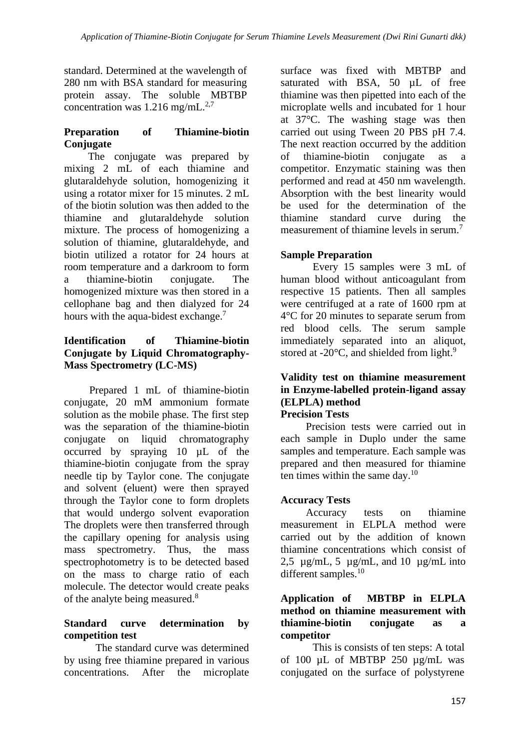standard. Determined at the wavelength of 280 nm with BSA standard for measuring protein assay. The soluble MBTBP concentration was  $1.216$  mg/mL.<sup>2,7</sup>

## **Preparation of Thiamine-biotin Conjugate**

The conjugate was prepared by mixing 2 mL of each thiamine and glutaraldehyde solution, homogenizing it using a rotator mixer for 15 minutes. 2 mL of the biotin solution was then added to the thiamine and glutaraldehyde solution mixture. The process of homogenizing a solution of thiamine, glutaraldehyde, and biotin utilized a rotator for 24 hours at room temperature and a darkroom to form a thiamine-biotin conjugate. The homogenized mixture was then stored in a cellophane bag and then dialyzed for 24 hours with the aqua-bidest exchange.<sup>7</sup>

# **Identification of Thiamine-biotin Conjugate by Liquid Chromatography-Mass Spectrometry (LC-MS)**

Prepared 1 mL of thiamine-biotin conjugate, 20 mM ammonium formate solution as the mobile phase. The first step was the separation of the thiamine-biotin conjugate on liquid chromatography occurred by spraying 10 µL of the thiamine-biotin conjugate from the spray needle tip by Taylor cone. The conjugate and solvent (eluent) were then sprayed through the Taylor cone to form droplets that would undergo solvent evaporation The droplets were then transferred through the capillary opening for analysis using mass spectrometry. Thus, the mass spectrophotometry is to be detected based on the mass to charge ratio of each molecule. The detector would create peaks of the analyte being measured.<sup>8</sup>

## **Standard curve determination by competition test**

The standard curve was determined by using free thiamine prepared in various concentrations. After the microplate surface was fixed with MBTBP and saturated with BSA, 50  $\mu$ L of free thiamine was then pipetted into each of the microplate wells and incubated for 1 hour at 37°C. The washing stage was then carried out using Tween 20 PBS pH 7.4. The next reaction occurred by the addition of thiamine-biotin conjugate as a competitor. Enzymatic staining was then performed and read at 450 nm wavelength. Absorption with the best linearity would be used for the determination of the thiamine standard curve during the measurement of thiamine levels in serum.<sup>7</sup>

# **Sample Preparation**

Every 15 samples were 3 mL of human blood without anticoagulant from respective 15 patients. Then all samples were centrifuged at a rate of 1600 rpm at 4°C for 20 minutes to separate serum from red blood cells. The serum sample immediately separated into an aliquot, stored at -20 $\mathrm{^{\circ}C}$ , and shielded from light.<sup>9</sup>

# **Validity test on thiamine measurement in Enzyme-labelled protein-ligand assay (ELPLA) method**

# **Precision Tests**

Precision tests were carried out in each sample in Duplo under the same samples and temperature. Each sample was prepared and then measured for thiamine ten times within the same day. $10$ 

# **Accuracy Tests**

Accuracy tests on thiamine measurement in ELPLA method were carried out by the addition of known thiamine concentrations which consist of 2,5  $\mu$ g/mL, 5  $\mu$ g/mL, and 10  $\mu$ g/mL into different samples.<sup>10</sup>

## **Application of MBTBP in ELPLA method on thiamine measurement with thiamine-biotin conjugate as a competitor**

This is consists of ten steps: A total of 100  $\mu$ L of MBTBP 250  $\mu$ g/mL was conjugated on the surface of polystyrene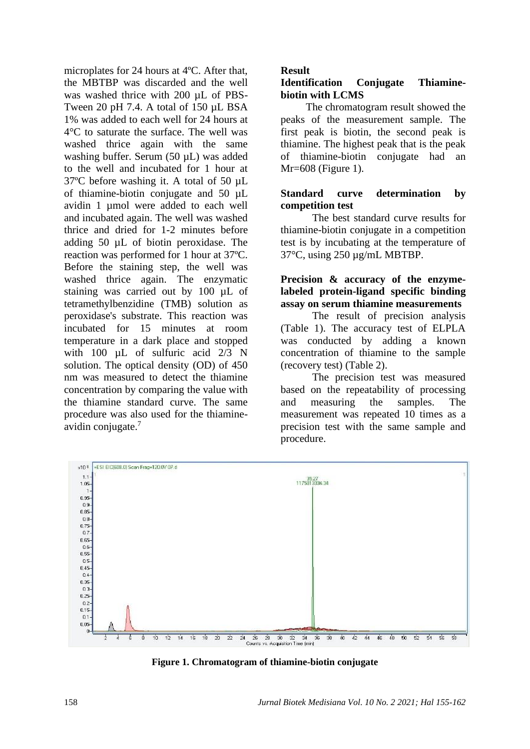microplates for 24 hours at 4ºC. After that, the MBTBP was discarded and the well was washed thrice with 200 µL of PBS-Tween 20 pH 7.4. A total of 150 µL BSA 1% was added to each well for 24 hours at 4°C to saturate the surface. The well was washed thrice again with the same washing buffer. Serum (50 µL) was added to the well and incubated for 1 hour at 37ºC before washing it. A total of 50 µL of thiamine-biotin conjugate and 50 µL avidin 1 µmol were added to each well and incubated again. The well was washed thrice and dried for 1-2 minutes before adding 50 µL of biotin peroxidase. The reaction was performed for 1 hour at 37ºC. Before the staining step, the well was washed thrice again. The enzymatic staining was carried out by 100 uL of tetramethylbenzidine (TMB) solution as peroxidase's substrate. This reaction was incubated for 15 minutes at room temperature in a dark place and stopped with 100 µL of sulfuric acid 2/3 N solution. The optical density (OD) of 450 nm was measured to detect the thiamine concentration by comparing the value with the thiamine standard curve. The same procedure was also used for the thiamineavidin conjugate.<sup>7</sup>

### **Result**

# **Identification Conjugate Thiaminebiotin with LCMS**

The chromatogram result showed the peaks of the measurement sample. The first peak is biotin, the second peak is thiamine. The highest peak that is the peak of thiamine-biotin conjugate had an Mr=608 (Figure 1).

## **Standard curve determination by competition test**

The best standard curve results for thiamine-biotin conjugate in a competition test is by incubating at the temperature of 37°C, using 250 µg/mL MBTBP.

# **Precision & accuracy of the enzymelabeled protein-ligand specific binding assay on serum thiamine measurements**

The result of precision analysis (Table 1). The accuracy test of ELPLA was conducted by adding a known concentration of thiamine to the sample (recovery test) (Table 2).

The precision test was measured based on the repeatability of processing and measuring the samples. The measurement was repeated 10 times as a precision test with the same sample and procedure.



**Figure 1. Chromatogram of thiamine-biotin conjugate**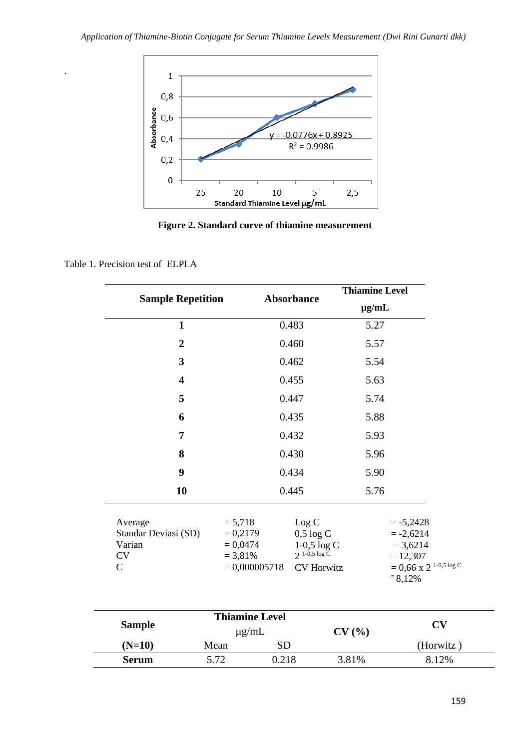

**Figure 2. Standard curve of thiamine measurement**

#### Table 1. Precision test of ELPLA

.

|                                                                         |                                                                        |                                                                                                    | <b>Thiamine Level</b> |                                                                                                            |
|-------------------------------------------------------------------------|------------------------------------------------------------------------|----------------------------------------------------------------------------------------------------|-----------------------|------------------------------------------------------------------------------------------------------------|
| <b>Sample Repetition</b>                                                |                                                                        | Absorbance                                                                                         |                       | $\mu$ g/mL                                                                                                 |
| $\mathbf{1}$                                                            |                                                                        | 0.483                                                                                              | 5.27                  |                                                                                                            |
| $\overline{2}$                                                          |                                                                        | 0.460                                                                                              | 5.57                  |                                                                                                            |
| 3                                                                       |                                                                        | 0.462                                                                                              | 5.54                  |                                                                                                            |
| $\overline{\mathbf{4}}$                                                 |                                                                        | 0.455                                                                                              | 5.63                  |                                                                                                            |
| 5                                                                       |                                                                        | 0.447                                                                                              | 5.74                  |                                                                                                            |
| 6                                                                       |                                                                        | 0.435                                                                                              | 5.88                  |                                                                                                            |
| $\overline{7}$                                                          |                                                                        | 0.432                                                                                              | 5.93                  |                                                                                                            |
| 8                                                                       |                                                                        | 0.430                                                                                              | 5.96                  |                                                                                                            |
| 9                                                                       |                                                                        | 0.434                                                                                              | 5.90                  |                                                                                                            |
| 10                                                                      |                                                                        | 0.445                                                                                              | 5.76                  |                                                                                                            |
| Average<br>Standar Deviasi (SD)<br>Varian<br><b>CV</b><br>$\mathcal{C}$ | $= 5,718$<br>$= 0,2179$<br>$= 0,0474$<br>$= 3,81\%$<br>$= 0,000005718$ | Log C<br>$0,5 \log C$<br>$1\text{-}0,5\,\log\mathrm{C}$<br>$2^{1-0.5 \log C}$<br><b>CV</b> Horwitz |                       | $= -5,2428$<br>$= -2,6214$<br>$= 3,6214$<br>$= 12,307$<br>$= 0,66$ x 2 <sup>1-0,5</sup> log C<br>$= 8,12%$ |
| <b>Sample</b>                                                           | <b>Thiamine Level</b><br>$\mu$ g/mL                                    |                                                                                                    | CV(%)                 | CV                                                                                                         |
| $(N=10)$                                                                | Mean                                                                   | <b>SD</b>                                                                                          |                       | (Horwitz)                                                                                                  |

**Serum** 5.72 0.218 3.81% 8.12%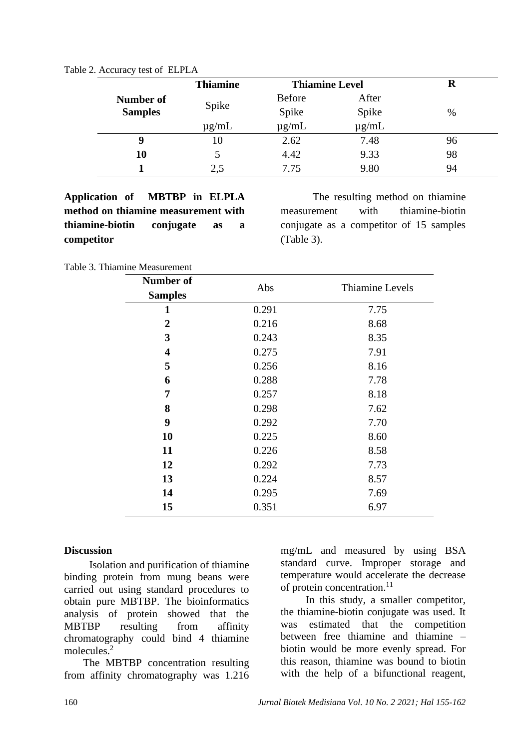| Table 2. Accuracy test of ELPLA |  |  |  |  |
|---------------------------------|--|--|--|--|
|---------------------------------|--|--|--|--|

|                | <b>Thiamine</b> | <b>Thiamine Level</b> |            | R  |
|----------------|-----------------|-----------------------|------------|----|
| Number of      |                 | <b>Before</b>         | After      |    |
| <b>Samples</b> | Spike           | Spike                 | Spike      | %  |
|                | $\mu$ g/mL      | $\mu$ g/mL            | $\mu$ g/mL |    |
| 9              | 10              | 2.62                  | 7.48       | 96 |
| 10             |                 | 4.42                  | 9.33       | 98 |
|                | 2.5             | 7.75                  | 9.80       | 94 |

**Application of MBTBP in ELPLA method on thiamine measurement with thiamine-biotin conjugate as a competitor**

The resulting method on thiamine measurement with thiamine-biotin conjugate as a competitor of 15 samples (Table 3).

Table 3. Thiamine Measurement

| <b>Number of</b>        | Abs   | Thiamine Levels |  |
|-------------------------|-------|-----------------|--|
| <b>Samples</b>          |       |                 |  |
| 1                       | 0.291 | 7.75            |  |
| 2                       | 0.216 | 8.68            |  |
| 3                       | 0.243 | 8.35            |  |
| $\overline{\mathbf{4}}$ | 0.275 | 7.91            |  |
| 5                       | 0.256 | 8.16            |  |
| 6                       | 0.288 | 7.78            |  |
| 7                       | 0.257 | 8.18            |  |
| 8                       | 0.298 | 7.62            |  |
| 9                       | 0.292 | 7.70            |  |
| 10                      | 0.225 | 8.60            |  |
| 11                      | 0.226 | 8.58            |  |
| 12                      | 0.292 | 7.73            |  |
| 13                      | 0.224 | 8.57            |  |
| 14                      | 0.295 | 7.69            |  |
| 15                      | 0.351 | 6.97            |  |

### **Discussion**

Isolation and purification of thiamine binding protein from mung beans were carried out using standard procedures to obtain pure MBTBP. The bioinformatics analysis of protein showed that the MBTBP resulting from affinity chromatography could bind 4 thiamine molecules.<sup>2</sup>

The MBTBP concentration resulting from affinity chromatography was 1.216 mg/mL and measured by using BSA standard curve. Improper storage and temperature would accelerate the decrease of protein concentration. 11

In this study, a smaller competitor, the thiamine-biotin conjugate was used. It was estimated that the competition between free thiamine and thiamine – biotin would be more evenly spread. For this reason, thiamine was bound to biotin with the help of a bifunctional reagent,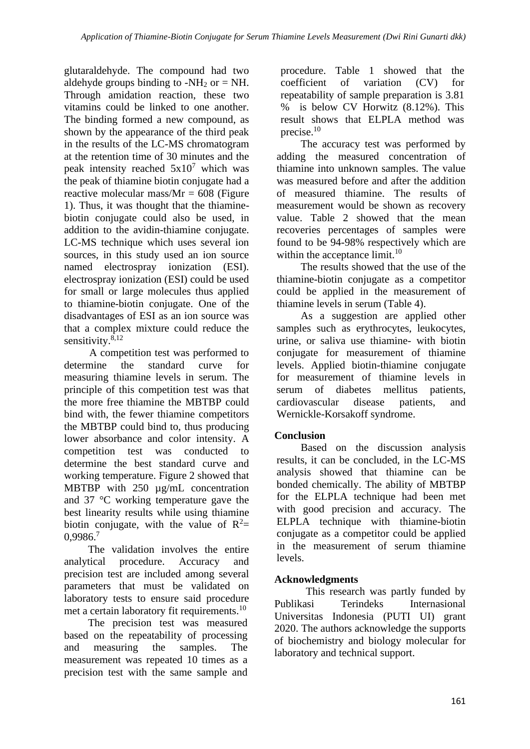glutaraldehyde. The compound had two aldehyde groups binding to -NH<sub>2</sub> or  $=$  NH. Through amidation reaction, these two vitamins could be linked to one another. The binding formed a new compound, as shown by the appearance of the third peak in the results of the LC-MS chromatogram at the retention time of 30 minutes and the peak intensity reached  $5x10<sup>7</sup>$  which was the peak of thiamine biotin conjugate had a reactive molecular mass/ $Mr = 608$  (Figure 1). Thus, it was thought that the thiaminebiotin conjugate could also be used, in addition to the avidin-thiamine conjugate. LC-MS technique which uses several ion sources, in this study used an ion source named electrospray ionization (ESI). electrospray ionization (ESI) could be used for small or large molecules thus applied to thiamine-biotin conjugate. One of the disadvantages of ESI as an ion source was that a complex mixture could reduce the sensitivity.<sup>8,12</sup>

A competition test was performed to determine the standard curve for measuring thiamine levels in serum. The principle of this competition test was that the more free thiamine the MBTBP could bind with, the fewer thiamine competitors the MBTBP could bind to, thus producing lower absorbance and color intensity. A competition test was conducted to determine the best standard curve and working temperature. Figure 2 showed that MBTBP with 250 µg/mL concentration and 37 °C working temperature gave the best linearity results while using thiamine biotin conjugate, with the value of  $R^2$ = 0,9986.<sup>7</sup>

The validation involves the entire analytical procedure. Accuracy and precision test are included among several parameters that must be validated on laboratory tests to ensure said procedure met a certain laboratory fit requirements.<sup>10</sup>

The precision test was measured based on the repeatability of processing and measuring the samples. The measurement was repeated 10 times as a precision test with the same sample and

procedure. Table 1 showed that the coefficient of variation (CV) for repeatability of sample preparation is 3.81 % is below CV Horwitz (8.12%). This result shows that ELPLA method was precise.<sup>10</sup>

The accuracy test was performed by adding the measured concentration of thiamine into unknown samples. The value was measured before and after the addition of measured thiamine. The results of measurement would be shown as recovery value. Table 2 showed that the mean recoveries percentages of samples were found to be 94-98% respectively which are within the acceptance limit.<sup>10</sup>

The results showed that the use of the thiamine-biotin conjugate as a competitor could be applied in the measurement of thiamine levels in serum (Table 4).

As a suggestion are applied other samples such as erythrocytes, leukocytes, urine, or saliva use thiamine- with biotin conjugate for measurement of thiamine levels. Applied biotin-thiamine conjugate for measurement of thiamine levels in serum of diabetes mellitus patients, cardiovascular disease patients, and Wernickle-Korsakoff syndrome.

# **Conclusion**

Based on the discussion analysis results, it can be concluded, in the LC-MS analysis showed that thiamine can be bonded chemically. The ability of MBTBP for the ELPLA technique had been met with good precision and accuracy. The ELPLA technique with thiamine-biotin conjugate as a competitor could be applied in the measurement of serum thiamine levels.

# **Acknowledgments**

This research was partly funded by Publikasi Terindeks Internasional Universitas Indonesia (PUTI UI) grant 2020. The authors acknowledge the supports of biochemistry and biology molecular for laboratory and technical support.